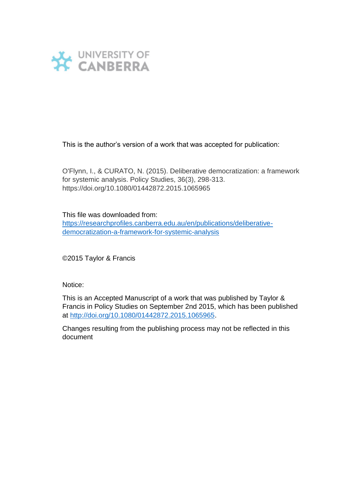

This is the author's version of a work that was accepted for publication:

O'Flynn, I., & CURATO, N. (2015). Deliberative democratization: a framework for systemic analysis. Policy Studies, 36(3), 298-313. https://doi.org/10.1080/01442872.2015.1065965

This file was downloaded from: [https://researchprofiles.canberra.edu.au/en/publications/deliberative](https://researchprofiles.canberra.edu.au/en/publications/deliberative-democratization-a-framework-for-systemic-analysis)[democratization-a-framework-for-systemic-analysis](https://researchprofiles.canberra.edu.au/en/publications/deliberative-democratization-a-framework-for-systemic-analysis)

©2015 Taylor & Francis

Notice:

This is an Accepted Manuscript of a work that was published by Taylor & Francis in Policy Studies on September 2nd 2015, which has been published at [http://doi.org/10.1080/01442872.2015.1065965.](http://doi.org/10.1080/01442872.2015.1065965)

Changes resulting from the publishing process may not be reflected in this document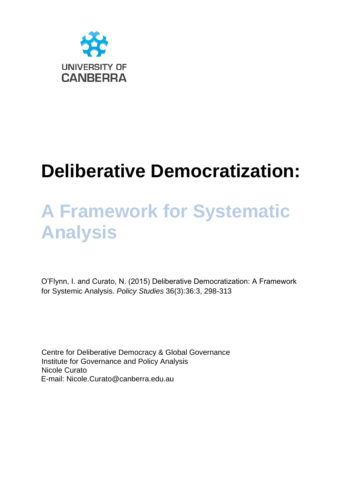

# **Deliberative Democratization:**

# **A Framework for Systematic Analysis**

O'Flynn, I. and Curato, N. (2015) Deliberative Democratization: A Framework for Systemic Analysis. *Policy Studies* 36(3):36:3, 298-313

Centre for Deliberative Democracy & Global Governance Institute for Governance and Policy Analysis Nicole Curato E-mail: Nicole.Curato@canberra.edu.au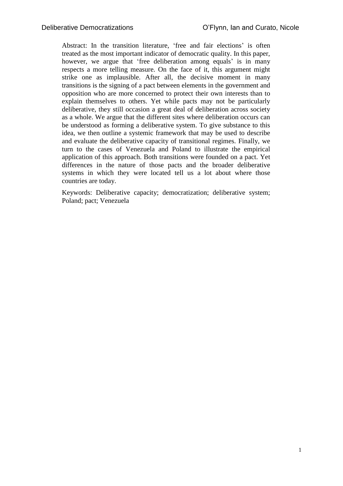Abstract: In the transition literature, 'free and fair elections' is often treated as the most important indicator of democratic quality. In this paper, however, we argue that 'free deliberation among equals' is in many respects a more telling measure. On the face of it, this argument might strike one as implausible. After all, the decisive moment in many transitions is the signing of a pact between elements in the government and opposition who are more concerned to protect their own interests than to explain themselves to others. Yet while pacts may not be particularly deliberative, they still occasion a great deal of deliberation across society as a whole. We argue that the different sites where deliberation occurs can be understood as forming a deliberative system. To give substance to this idea, we then outline a systemic framework that may be used to describe and evaluate the deliberative capacity of transitional regimes. Finally, we turn to the cases of Venezuela and Poland to illustrate the empirical application of this approach. Both transitions were founded on a pact. Yet differences in the nature of those pacts and the broader deliberative systems in which they were located tell us a lot about where those countries are today.

Keywords: Deliberative capacity; democratization; deliberative system; Poland; pact; Venezuela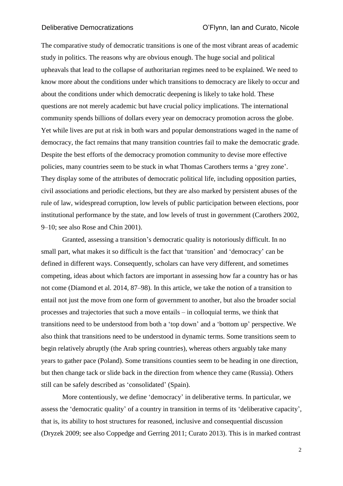The comparative study of democratic transitions is one of the most vibrant areas of academic study in politics. The reasons why are obvious enough. The huge social and political upheavals that lead to the collapse of authoritarian regimes need to be explained. We need to know more about the conditions under which transitions to democracy are likely to occur and about the conditions under which democratic deepening is likely to take hold. These questions are not merely academic but have crucial policy implications. The international community spends billions of dollars every year on democracy promotion across the globe. Yet while lives are put at risk in both wars and popular demonstrations waged in the name of democracy, the fact remains that many transition countries fail to make the democratic grade. Despite the best efforts of the democracy promotion community to devise more effective policies, many countries seem to be stuck in what Thomas Carothers terms a 'grey zone'. They display some of the attributes of democratic political life, including opposition parties, civil associations and periodic elections, but they are also marked by persistent abuses of the rule of law, widespread corruption, low levels of public participation between elections, poor institutional performance by the state, and low levels of trust in government (Carothers 2002, 9–10; see also Rose and Chin 2001).

Granted, assessing a transition's democratic quality is notoriously difficult. In no small part, what makes it so difficult is the fact that 'transition' and 'democracy' can be defined in different ways. Consequently, scholars can have very different, and sometimes competing, ideas about which factors are important in assessing how far a country has or has not come (Diamond et al. 2014, 87–98). In this article, we take the notion of a transition to entail not just the move from one form of government to another, but also the broader social processes and trajectories that such a move entails – in colloquial terms, we think that transitions need to be understood from both a 'top down' and a 'bottom up' perspective. We also think that transitions need to be understood in dynamic terms. Some transitions seem to begin relatively abruptly (the Arab spring countries), whereas others arguably take many years to gather pace (Poland). Some transitions counties seem to be heading in one direction, but then change tack or slide back in the direction from whence they came (Russia). Others still can be safely described as 'consolidated' (Spain).

More contentiously, we define 'democracy' in deliberative terms. In particular, we assess the 'democratic quality' of a country in transition in terms of its 'deliberative capacity', that is, its ability to host structures for reasoned, inclusive and consequential discussion (Dryzek 2009; see also Coppedge and Gerring 2011; Curato 2013). This is in marked contrast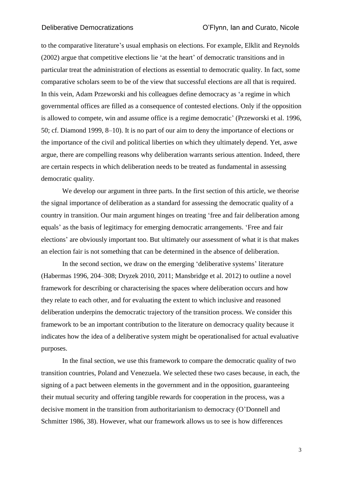to the comparative literature's usual emphasis on elections. For example, Elklit and Reynolds (2002) argue that competitive elections lie 'at the heart' of democratic transitions and in particular treat the administration of elections as essential to democratic quality. In fact, some comparative scholars seem to be of the view that successful elections are all that is required. In this vein, Adam Przeworski and his colleagues define democracy as 'a regime in which governmental offices are filled as a consequence of contested elections. Only if the opposition is allowed to compete, win and assume office is a regime democratic' (Przeworski et al. 1996, 50; cf. Diamond 1999, 8–10). It is no part of our aim to deny the importance of elections or the importance of the civil and political liberties on which they ultimately depend. Yet, aswe argue, there are compelling reasons why deliberation warrants serious attention. Indeed, there are certain respects in which deliberation needs to be treated as fundamental in assessing democratic quality.

We develop our argument in three parts. In the first section of this article, we theorise the signal importance of deliberation as a standard for assessing the democratic quality of a country in transition. Our main argument hinges on treating 'free and fair deliberation among equals' as the basis of legitimacy for emerging democratic arrangements. 'Free and fair elections' are obviously important too. But ultimately our assessment of what it is that makes an election fair is not something that can be determined in the absence of deliberation.

In the second section, we draw on the emerging 'deliberative systems' literature (Habermas 1996, 204–308; Dryzek 2010, 2011; Mansbridge et al. 2012) to outline a novel framework for describing or characterising the spaces where deliberation occurs and how they relate to each other, and for evaluating the extent to which inclusive and reasoned deliberation underpins the democratic trajectory of the transition process. We consider this framework to be an important contribution to the literature on democracy quality because it indicates how the idea of a deliberative system might be operationalised for actual evaluative purposes.

In the final section, we use this framework to compare the democratic quality of two transition countries, Poland and Venezuela. We selected these two cases because, in each, the signing of a pact between elements in the government and in the opposition, guaranteeing their mutual security and offering tangible rewards for cooperation in the process, was a decisive moment in the transition from authoritarianism to democracy (O'Donnell and Schmitter 1986, 38). However, what our framework allows us to see is how differences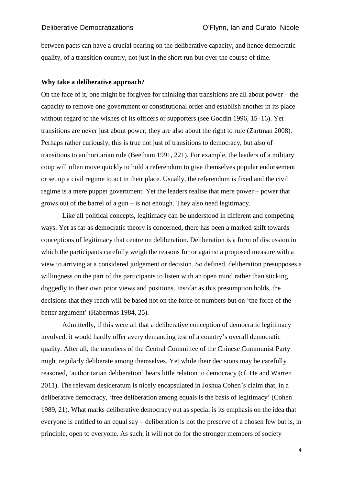between pacts can have a crucial bearing on the deliberative capacity, and hence democratic quality, of a transition country, not just in the short run but over the course of time.

## **Why take a deliberative approach?**

On the face of it, one might be forgiven for thinking that transitions are all about power – the capacity to remove one government or constitutional order and establish another in its place without regard to the wishes of its officers or supporters (see Goodin 1996, 15–16). Yet transitions are never just about power; they are also about the right to rule (Zartman 2008). Perhaps rather curiously, this is true not just of transitions to democracy, but also of transitions to authoritarian rule (Beetham 1991, 221). For example, the leaders of a military coup will often move quickly to hold a referendum to give themselves popular endorsement or set up a civil regime to act in their place. Usually, the referendum is fixed and the civil regime is a mere puppet government. Yet the leaders realise that mere power – power that grows out of the barrel of a gun – is not enough. They also need legitimacy.

Like all political concepts, legitimacy can be understood in different and competing ways. Yet as far as democratic theory is concerned, there has been a marked shift towards conceptions of legitimacy that centre on deliberation. Deliberation is a form of discussion in which the participants carefully weigh the reasons for or against a proposed measure with a view to arriving at a considered judgement or decision. So defined, deliberation presupposes a willingness on the part of the participants to listen with an open mind rather than sticking doggedly to their own prior views and positions. Insofar as this presumption holds, the decisions that they reach will be based not on the force of numbers but on 'the force of the better argument' (Habermas 1984, 25).

Admittedly, if this were all that a deliberative conception of democratic legitimacy involved, it would hardly offer avery demanding test of a country's overall democratic quality. After all, the members of the Central Committee of the Chinese Communist Party might regularly deliberate among themselves. Yet while their decisions may be carefully reasoned, 'authoritarian deliberation' bears little relation to democracy (cf. He and Warren 2011). The relevant desideratum is nicely encapsulated in Joshua Cohen's claim that, in a deliberative democracy, 'free deliberation among equals is the basis of legitimacy' (Cohen 1989, 21). What marks deliberative democracy out as special is its emphasis on the idea that everyone is entitled to an equal say – deliberation is not the preserve of a chosen few but is, in principle, open to everyone. As such, it will not do for the stronger members of society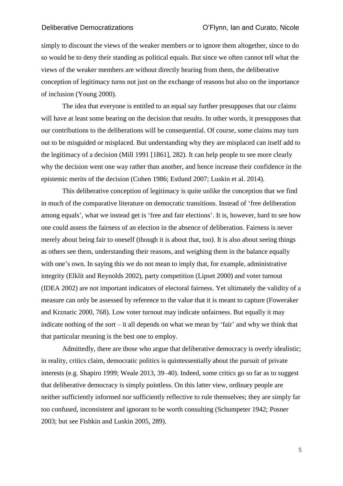simply to discount the views of the weaker members or to ignore them altogether, since to do so would be to deny their standing as political equals. But since we often cannot tell what the views of the weaker members are without directly hearing from them, the deliberative conception of legitimacy turns not just on the exchange of reasons but also on the importance of inclusion (Young 2000).

The idea that everyone is entitled to an equal say further presupposes that our claims will have at least some bearing on the decision that results. In other words, it presupposes that our contributions to the deliberations will be consequential. Of course, some claims may turn out to be misguided or misplaced. But understanding why they are misplaced can itself add to the legitimacy of a decision (Mill 1991 [1861], 282). It can help people to see more clearly why the decision went one way rather than another, and hence increase their confidence in the epistemic merits of the decision (Cohen 1986; Estlund 2007; Luskin et al. 2014).

This deliberative conception of legitimacy is quite unlike the conception that we find in much of the comparative literature on democratic transitions. Instead of 'free deliberation among equals', what we instead get is 'free and fair elections'. It is, however, hard to see how one could assess the fairness of an election in the absence of deliberation. Fairness is never merely about being fair to oneself (though it is about that, too). It is also about seeing things as others see them, understanding their reasons, and weighing them in the balance equally with one's own. In saying this we do not mean to imply that, for example, administrative integrity (Elklit and Reynolds 2002), party competition (Lipset 2000) and voter turnout (IDEA 2002) are not important indicators of electoral fairness. Yet ultimately the validity of a measure can only be assessed by reference to the value that it is meant to capture (Foweraker and Krznaric 2000, 768). Low voter turnout may indicate unfairness. But equally it may indicate nothing of the sort – it all depends on what we mean by 'fair' and why we think that that particular meaning is the best one to employ.

Admittedly, there are those who argue that deliberative democracy is overly idealistic; in reality, critics claim, democratic politics is quintessentially about the pursuit of private interests (e.g. Shapiro 1999; Weale 2013, 39–40). Indeed, some critics go so far as to suggest that deliberative democracy is simply pointless. On this latter view, ordinary people are neither sufficiently informed nor sufficiently reflective to rule themselves; they are simply far too confused, inconsistent and ignorant to be worth consulting (Schumpeter 1942; Posner 2003; but see Fishkin and Luskin 2005, 289).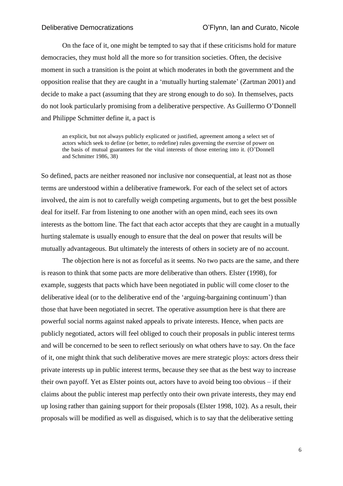On the face of it, one might be tempted to say that if these criticisms hold for mature democracies, they must hold all the more so for transition societies. Often, the decisive moment in such a transition is the point at which moderates in both the government and the opposition realise that they are caught in a 'mutually hurting stalemate' (Zartman 2001) and decide to make a pact (assuming that they are strong enough to do so). In themselves, pacts do not look particularly promising from a deliberative perspective. As Guillermo O'Donnell and Philippe Schmitter define it, a pact is

an explicit, but not always publicly explicated or justified, agreement among a select set of actors which seek to define (or better, to redefine) rules governing the exercise of power on the basis of mutual guarantees for the vital interests of those entering into it. (O'Donnell and Schmitter 1986, 38)

So defined, pacts are neither reasoned nor inclusive nor consequential, at least not as those terms are understood within a deliberative framework. For each of the select set of actors involved, the aim is not to carefully weigh competing arguments, but to get the best possible deal for itself. Far from listening to one another with an open mind, each sees its own interests as the bottom line. The fact that each actor accepts that they are caught in a mutually hurting stalemate is usually enough to ensure that the deal on power that results will be mutually advantageous. But ultimately the interests of others in society are of no account.

The objection here is not as forceful as it seems. No two pacts are the same, and there is reason to think that some pacts are more deliberative than others. Elster (1998), for example, suggests that pacts which have been negotiated in public will come closer to the deliberative ideal (or to the deliberative end of the 'arguing-bargaining continuum') than those that have been negotiated in secret. The operative assumption here is that there are powerful social norms against naked appeals to private interests. Hence, when pacts are publicly negotiated, actors will feel obliged to couch their proposals in public interest terms and will be concerned to be seen to reflect seriously on what others have to say. On the face of it, one might think that such deliberative moves are mere strategic ploys: actors dress their private interests up in public interest terms, because they see that as the best way to increase their own payoff. Yet as Elster points out, actors have to avoid being too obvious – if their claims about the public interest map perfectly onto their own private interests, they may end up losing rather than gaining support for their proposals (Elster 1998, 102). As a result, their proposals will be modified as well as disguised, which is to say that the deliberative setting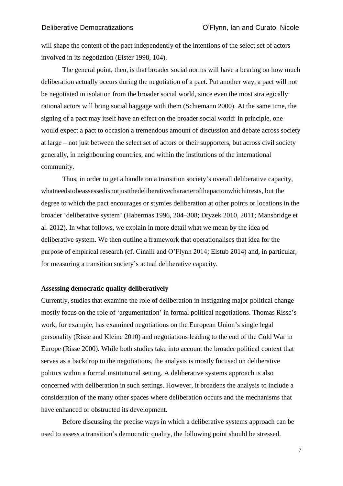will shape the content of the pact independently of the intentions of the select set of actors involved in its negotiation (Elster 1998, 104).

The general point, then, is that broader social norms will have a bearing on how much deliberation actually occurs during the negotiation of a pact. Put another way, a pact will not be negotiated in isolation from the broader social world, since even the most strategically rational actors will bring social baggage with them (Schiemann 2000). At the same time, the signing of a pact may itself have an effect on the broader social world: in principle, one would expect a pact to occasion a tremendous amount of discussion and debate across society at large – not just between the select set of actors or their supporters, but across civil society generally, in neighbouring countries, and within the institutions of the international community.

Thus, in order to get a handle on a transition society's overall deliberative capacity, whatneedstobeassessedisnotjustthedeliberativecharacterofthepactonwhichitrests, but the degree to which the pact encourages or stymies deliberation at other points or locations in the broader 'deliberative system' (Habermas 1996, 204–308; Dryzek 2010, 2011; Mansbridge et al. 2012). In what follows, we explain in more detail what we mean by the idea od deliberative system. We then outline a framework that operationalises that idea for the purpose of empirical research (cf. Cinalli and O'Flynn 2014; Elstub 2014) and, in particular, for measuring a transition society's actual deliberative capacity.

### **Assessing democratic quality deliberatively**

Currently, studies that examine the role of deliberation in instigating major political change mostly focus on the role of 'argumentation' in formal political negotiations. Thomas Risse's work, for example, has examined negotiations on the European Union's single legal personality (Risse and Kleine 2010) and negotiations leading to the end of the Cold War in Europe (Risse 2000). While both studies take into account the broader political context that serves as a backdrop to the negotiations, the analysis is mostly focused on deliberative politics within a formal institutional setting. A deliberative systems approach is also concerned with deliberation in such settings. However, it broadens the analysis to include a consideration of the many other spaces where deliberation occurs and the mechanisms that have enhanced or obstructed its development.

Before discussing the precise ways in which a deliberative systems approach can be used to assess a transition's democratic quality, the following point should be stressed.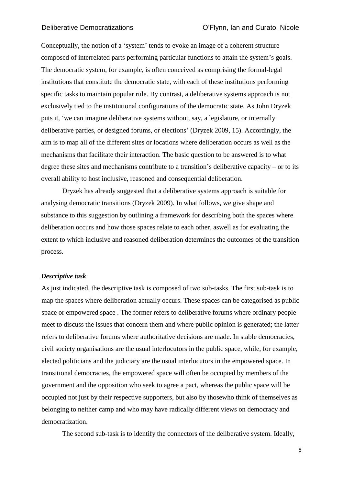Conceptually, the notion of a 'system' tends to evoke an image of a coherent structure composed of interrelated parts performing particular functions to attain the system's goals. The democratic system, for example, is often conceived as comprising the formal-legal institutions that constitute the democratic state, with each of these institutions performing specific tasks to maintain popular rule. By contrast, a deliberative systems approach is not exclusively tied to the institutional configurations of the democratic state. As John Dryzek puts it, 'we can imagine deliberative systems without, say, a legislature, or internally deliberative parties, or designed forums, or elections' (Dryzek 2009, 15). Accordingly, the aim is to map all of the different sites or locations where deliberation occurs as well as the mechanisms that facilitate their interaction. The basic question to be answered is to what degree these sites and mechanisms contribute to a transition's deliberative capacity – or to its overall ability to host inclusive, reasoned and consequential deliberation.

Dryzek has already suggested that a deliberative systems approach is suitable for analysing democratic transitions (Dryzek 2009). In what follows, we give shape and substance to this suggestion by outlining a framework for describing both the spaces where deliberation occurs and how those spaces relate to each other, aswell as for evaluating the extent to which inclusive and reasoned deliberation determines the outcomes of the transition process.

### *Descriptive task*

As just indicated, the descriptive task is composed of two sub-tasks. The first sub-task is to map the spaces where deliberation actually occurs. These spaces can be categorised as public space or empowered space . The former refers to deliberative forums where ordinary people meet to discuss the issues that concern them and where public opinion is generated; the latter refers to deliberative forums where authoritative decisions are made. In stable democracies, civil society organisations are the usual interlocutors in the public space, while, for example, elected politicians and the judiciary are the usual interlocutors in the empowered space. In transitional democracies, the empowered space will often be occupied by members of the government and the opposition who seek to agree a pact, whereas the public space will be occupied not just by their respective supporters, but also by thosewho think of themselves as belonging to neither camp and who may have radically different views on democracy and democratization.

The second sub-task is to identify the connectors of the deliberative system. Ideally,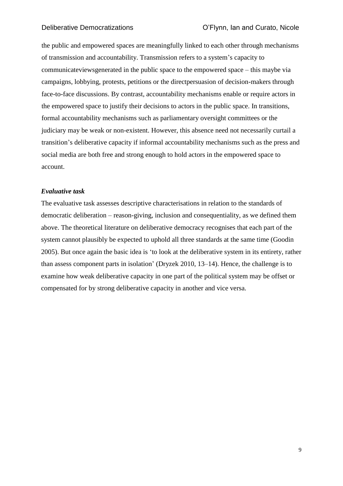the public and empowered spaces are meaningfully linked to each other through mechanisms of transmission and accountability. Transmission refers to a system's capacity to communicateviewsgenerated in the public space to the empowered space – this maybe via campaigns, lobbying, protests, petitions or the directpersuasion of decision-makers through face-to-face discussions. By contrast, accountability mechanisms enable or require actors in the empowered space to justify their decisions to actors in the public space. In transitions, formal accountability mechanisms such as parliamentary oversight committees or the judiciary may be weak or non-existent. However, this absence need not necessarily curtail a transition's deliberative capacity if informal accountability mechanisms such as the press and social media are both free and strong enough to hold actors in the empowered space to account.

### *Evaluative task*

The evaluative task assesses descriptive characterisations in relation to the standards of democratic deliberation – reason-giving, inclusion and consequentiality, as we defined them above. The theoretical literature on deliberative democracy recognises that each part of the system cannot plausibly be expected to uphold all three standards at the same time (Goodin 2005). But once again the basic idea is 'to look at the deliberative system in its entirety, rather than assess component parts in isolation' (Dryzek 2010, 13–14). Hence, the challenge is to examine how weak deliberative capacity in one part of the political system may be offset or compensated for by strong deliberative capacity in another and vice versa.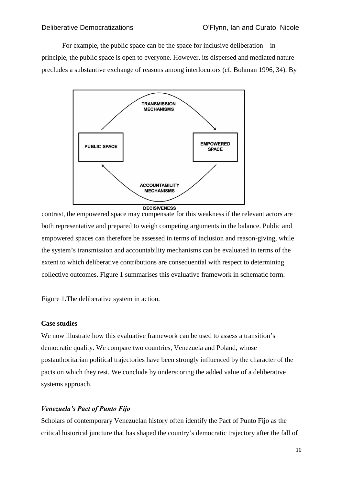For example, the public space can be the space for inclusive deliberation – in principle, the public space is open to everyone. However, its dispersed and mediated nature precludes a substantive exchange of reasons among interlocutors (cf. Bohman 1996, 34). By



contrast, the empowered space may compensate for this weakness if the relevant actors are both representative and prepared to weigh competing arguments in the balance. Public and empowered spaces can therefore be assessed in terms of inclusion and reason-giving, while the system's transmission and accountability mechanisms can be evaluated in terms of the extent to which deliberative contributions are consequential with respect to determining collective outcomes. Figure 1 summarises this evaluative framework in schematic form.

Figure 1.The deliberative system in action.

### **Case studies**

We now illustrate how this evaluative framework can be used to assess a transition's democratic quality. We compare two countries, Venezuela and Poland, whose postauthoritarian political trajectories have been strongly influenced by the character of the pacts on which they rest. We conclude by underscoring the added value of a deliberative systems approach.

# *Venezuela's Pact of Punto Fijo*

Scholars of contemporary Venezuelan history often identify the Pact of Punto Fijo as the critical historical juncture that has shaped the country's democratic trajectory after the fall of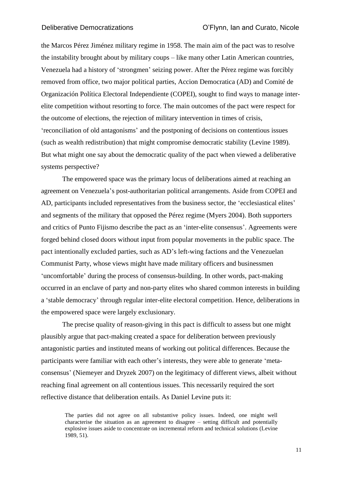the Marcos Pérez Jiménez military regime in 1958. The main aim of the pact was to resolve the instability brought about by military coups – like many other Latin American countries, Venezuela had a history of 'strongmen' seizing power. After the Pérez regime was forcibly removed from office, two major political parties, Accion Democratica (AD) and Comité de Organización Política Electoral Independiente (COPEI), sought to find ways to manage interelite competition without resorting to force. The main outcomes of the pact were respect for the outcome of elections, the rejection of military intervention in times of crisis, 'reconciliation of old antagonisms' and the postponing of decisions on contentious issues (such as wealth redistribution) that might compromise democratic stability (Levine 1989). But what might one say about the democratic quality of the pact when viewed a deliberative systems perspective?

The empowered space was the primary locus of deliberations aimed at reaching an agreement on Venezuela's post-authoritarian political arrangements. Aside from COPEI and AD, participants included representatives from the business sector, the 'ecclesiastical elites' and segments of the military that opposed the Pérez regime (Myers 2004). Both supporters and critics of Punto Fijismo describe the pact as an 'inter-elite consensus'. Agreements were forged behind closed doors without input from popular movements in the public space. The pact intentionally excluded parties, such as AD's left-wing factions and the Venezuelan Communist Party, whose views might have made military officers and businessmen 'uncomfortable' during the process of consensus-building. In other words, pact-making occurred in an enclave of party and non-party elites who shared common interests in building a 'stable democracy' through regular inter-elite electoral competition. Hence, deliberations in the empowered space were largely exclusionary.

The precise quality of reason-giving in this pact is difficult to assess but one might plausibly argue that pact-making created a space for deliberation between previously antagonistic parties and instituted means of working out political differences. Because the participants were familiar with each other's interests, they were able to generate 'metaconsensus' (Niemeyer and Dryzek 2007) on the legitimacy of different views, albeit without reaching final agreement on all contentious issues. This necessarily required the sort reflective distance that deliberation entails. As Daniel Levine puts it:

The parties did not agree on all substantive policy issues. Indeed, one might well characterise the situation as an agreement to disagree – setting difficult and potentially explosive issues aside to concentrate on incremental reform and technical solutions (Levine 1989, 51).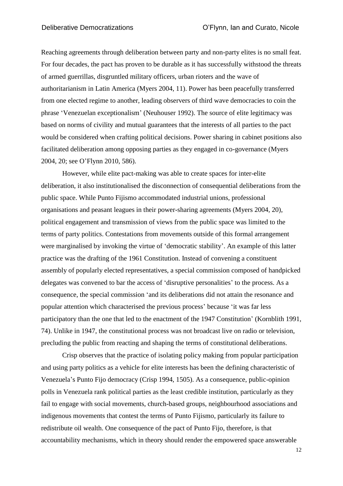Reaching agreements through deliberation between party and non-party elites is no small feat. For four decades, the pact has proven to be durable as it has successfully withstood the threats of armed guerrillas, disgruntled military officers, urban rioters and the wave of authoritarianism in Latin America (Myers 2004, 11). Power has been peacefully transferred from one elected regime to another, leading observers of third wave democracies to coin the phrase 'Venezuelan exceptionalism' (Neuhouser 1992). The source of elite legitimacy was based on norms of civility and mutual guarantees that the interests of all parties to the pact would be considered when crafting political decisions. Power sharing in cabinet positions also facilitated deliberation among opposing parties as they engaged in co-governance (Myers 2004, 20; see O'Flynn 2010, 586).

However, while elite pact-making was able to create spaces for inter-elite deliberation, it also institutionalised the disconnection of consequential deliberations from the public space. While Punto Fijismo accommodated industrial unions, professional organisations and peasant leagues in their power-sharing agreements (Myers 2004, 20), political engagement and transmission of views from the public space was limited to the terms of party politics. Contestations from movements outside of this formal arrangement were marginalised by invoking the virtue of 'democratic stability'. An example of this latter practice was the drafting of the 1961 Constitution. Instead of convening a constituent assembly of popularly elected representatives, a special commission composed of handpicked delegates was convened to bar the access of 'disruptive personalities' to the process. As a consequence, the special commission 'and its deliberations did not attain the resonance and popular attention which characterised the previous process' because 'it was far less participatory than the one that led to the enactment of the 1947 Constitution' (Kornblith 1991, 74). Unlike in 1947, the constitutional process was not broadcast live on radio or television, precluding the public from reacting and shaping the terms of constitutional deliberations.

Crisp observes that the practice of isolating policy making from popular participation and using party politics as a vehicle for elite interests has been the defining characteristic of Venezuela's Punto Fijo democracy (Crisp 1994, 1505). As a consequence, public-opinion polls in Venezuela rank political parties as the least credible institution, particularly as they fail to engage with social movements, church-based groups, neighbourhood associations and indigenous movements that contest the terms of Punto Fijismo, particularly its failure to redistribute oil wealth. One consequence of the pact of Punto Fijo, therefore, is that accountability mechanisms, which in theory should render the empowered space answerable

12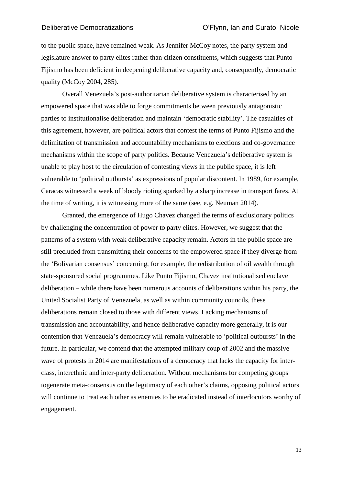to the public space, have remained weak. As Jennifer McCoy notes, the party system and legislature answer to party elites rather than citizen constituents, which suggests that Punto Fijismo has been deficient in deepening deliberative capacity and, consequently, democratic quality (McCoy 2004, 285).

Overall Venezuela's post-authoritarian deliberative system is characterised by an empowered space that was able to forge commitments between previously antagonistic parties to institutionalise deliberation and maintain 'democratic stability'. The casualties of this agreement, however, are political actors that contest the terms of Punto Fijismo and the delimitation of transmission and accountability mechanisms to elections and co-governance mechanisms within the scope of party politics. Because Venezuela's deliberative system is unable to play host to the circulation of contesting views in the public space, it is left vulnerable to 'political outbursts' as expressions of popular discontent. In 1989, for example, Caracas witnessed a week of bloody rioting sparked by a sharp increase in transport fares. At the time of writing, it is witnessing more of the same (see, e.g. Neuman 2014).

Granted, the emergence of Hugo Chavez changed the terms of exclusionary politics by challenging the concentration of power to party elites. However, we suggest that the patterns of a system with weak deliberative capacity remain. Actors in the public space are still precluded from transmitting their concerns to the empowered space if they diverge from the 'Bolivarian consensus' concerning, for example, the redistribution of oil wealth through state-sponsored social programmes. Like Punto Fijismo, Chavez institutionalised enclave deliberation – while there have been numerous accounts of deliberations within his party, the United Socialist Party of Venezuela, as well as within community councils, these deliberations remain closed to those with different views. Lacking mechanisms of transmission and accountability, and hence deliberative capacity more generally, it is our contention that Venezuela's democracy will remain vulnerable to 'political outbursts' in the future. In particular, we contend that the attempted military coup of 2002 and the massive wave of protests in 2014 are manifestations of a democracy that lacks the capacity for interclass, interethnic and inter-party deliberation. Without mechanisms for competing groups togenerate meta-consensus on the legitimacy of each other's claims, opposing political actors will continue to treat each other as enemies to be eradicated instead of interlocutors worthy of engagement.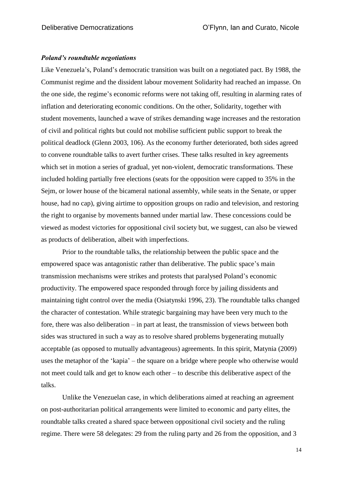### *Poland's roundtable negotiations*

Like Venezuela's, Poland's democratic transition was built on a negotiated pact. By 1988, the Communist regime and the dissident labour movement Solidarity had reached an impasse. On the one side, the regime's economic reforms were not taking off, resulting in alarming rates of inflation and deteriorating economic conditions. On the other, Solidarity, together with student movements, launched a wave of strikes demanding wage increases and the restoration of civil and political rights but could not mobilise sufficient public support to break the political deadlock (Glenn 2003, 106). As the economy further deteriorated, both sides agreed to convene roundtable talks to avert further crises. These talks resulted in key agreements which set in motion a series of gradual, yet non-violent, democratic transformations. These included holding partially free elections (seats for the opposition were capped to 35% in the Sejm, or lower house of the bicameral national assembly, while seats in the Senate, or upper house, had no cap), giving airtime to opposition groups on radio and television, and restoring the right to organise by movements banned under martial law. These concessions could be viewed as modest victories for oppositional civil society but, we suggest, can also be viewed as products of deliberation, albeit with imperfections.

Prior to the roundtable talks, the relationship between the public space and the empowered space was antagonistic rather than deliberative. The public space's main transmission mechanisms were strikes and protests that paralysed Poland's economic productivity. The empowered space responded through force by jailing dissidents and maintaining tight control over the media (Osiatynski 1996, 23). The roundtable talks changed the character of contestation. While strategic bargaining may have been very much to the fore, there was also deliberation – in part at least, the transmission of views between both sides was structured in such a way as to resolve shared problems bygenerating mutually acceptable (as opposed to mutually advantageous) agreements. In this spirit, Matynia (2009) uses the metaphor of the 'kapia' – the square on a bridge where people who otherwise would not meet could talk and get to know each other – to describe this deliberative aspect of the talks.

Unlike the Venezuelan case, in which deliberations aimed at reaching an agreement on post-authoritarian political arrangements were limited to economic and party elites, the roundtable talks created a shared space between oppositional civil society and the ruling regime. There were 58 delegates: 29 from the ruling party and 26 from the opposition, and 3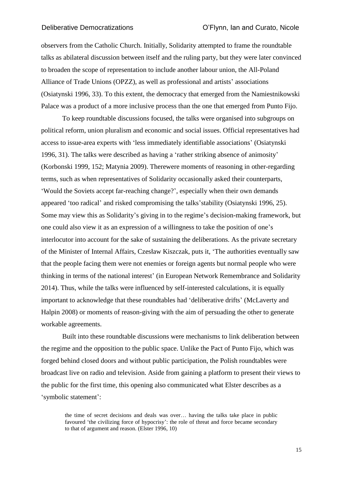observers from the Catholic Church. Initially, Solidarity attempted to frame the roundtable talks as abilateral discussion between itself and the ruling party, but they were later convinced to broaden the scope of representation to include another labour union, the All-Poland Alliance of Trade Unions (OPZZ), as well as professional and artists' associations (Osiatynski 1996, 33). To this extent, the democracy that emerged from the Namiestnikowski Palace was a product of a more inclusive process than the one that emerged from Punto Fijo.

To keep roundtable discussions focused, the talks were organised into subgroups on political reform, union pluralism and economic and social issues. Official representatives had access to issue-area experts with 'less immediately identifiable associations' (Osiatynski 1996, 31). The talks were described as having a 'rather striking absence of animosity' (Korbonski 1999, 152; Matynia 2009). Therewere moments of reasoning in other-regarding terms, such as when representatives of Solidarity occasionally asked their counterparts, 'Would the Soviets accept far-reaching change?', especially when their own demands appeared 'too radical' and risked compromising the talks'stability (Osiatynski 1996, 25). Some may view this as Solidarity's giving in to the regime's decision-making framework, but one could also view it as an expression of a willingness to take the position of one's interlocutor into account for the sake of sustaining the deliberations. As the private secretary of the Minister of Internal Affairs, Czesław Kiszczak, puts it, 'The authorities eventually saw that the people facing them were not enemies or foreign agents but normal people who were thinking in terms of the national interest' (in European Network Remembrance and Solidarity 2014). Thus, while the talks were influenced by self-interested calculations, it is equally important to acknowledge that these roundtables had 'deliberative drifts' (McLaverty and Halpin 2008) or moments of reason-giving with the aim of persuading the other to generate workable agreements.

Built into these roundtable discussions were mechanisms to link deliberation between the regime and the opposition to the public space. Unlike the Pact of Punto Fijo, which was forged behind closed doors and without public participation, the Polish roundtables were broadcast live on radio and television. Aside from gaining a platform to present their views to the public for the first time, this opening also communicated what Elster describes as a 'symbolic statement':

the time of secret decisions and deals was over… having the talks take place in public favoured 'the civilizing force of hypocrisy': the role of threat and force became secondary to that of argument and reason. (Elster 1996, 10)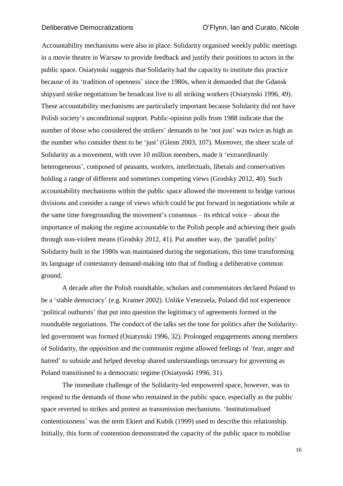Accountability mechanisms were also in place. Solidarity organised weekly public meetings in a movie theatre in Warsaw to provide feedback and justify their positions to actors in the public space. Osiatynski suggests that Solidarity had the capacity to institute this practice because of its 'tradition of openness' since the 1980s, when it demanded that the Gdansk shipyard strike negotiations be broadcast live to all striking workers (Osiatynski 1996, 49). These accountability mechanisms are particularly important because Solidarity did not have Polish society's unconditional support. Public-opinion polls from 1988 indicate that the number of those who considered the strikers' demands to be 'not just' was twice as high as the number who consider them to be 'just' (Glenn 2003, 107). Moreover, the sheer scale of Solidarity as a movement, with over 10 million members, made it 'extraordinarily heterogeneous', composed of peasants, workers, intellectuals, liberals and conservatives holding a range of different and sometimes competing views (Grodsky 2012, 40). Such accountability mechanisms within the public space allowed the movement to bridge various divisions and consider a range of views which could be put forward in negotiations while at the same time foregrounding the movement's consensus – its ethical voice – about the importance of making the regime accountable to the Polish people and achieving their goals through non-violent means (Grodsky 2012, 41). Put another way, the 'parallel polity' Solidarity built in the 1980s was maintained during the negotiations, this time transforming its language of contestatory demand-making into that of finding a deliberative common ground.

A decade after the Polish roundtable, scholars and commentators declared Poland to be a 'stable democracy' (e.g. Kramer 2002). Unlike Venezuela, Poland did not experience 'political outbursts' that put into question the legitimacy of agreements formed in the roundtable negotiations. The conduct of the talks set the tone for politics after the Solidarityled government was formed (Osiatynski 1996, 32). Prolonged engagements among members of Solidarity, the opposition and the communist regime allowed feelings of 'fear, anger and hatred' to subside and helped develop shared understandings necessary for governing as Poland transitioned to a democratic regime (Osiatynski 1996, 31).

The immediate challenge of the Solidarity-led empowered space, however, was to respond to the demands of those who remained in the public space, especially as the public space reverted to strikes and protest as transmission mechanisms. 'Institutionalised contentiousness' was the term Ekiert and Kubik (1999) used to describe this relationship. Initially, this form of contention demonstrated the capacity of the public space to mobilise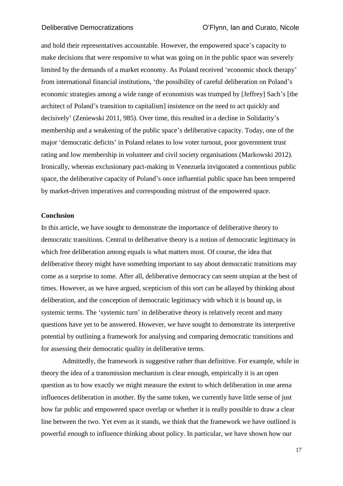and hold their representatives accountable. However, the empowered space's capacity to make decisions that were responsive to what was going on in the public space was severely limited by the demands of a market economy. As Poland received 'economic shock therapy' from international financial institutions, 'the possibility of careful deliberation on Poland's economic strategies among a wide range of economists was trumped by [Jeffrey] Sach's [the architect of Poland's transition to capitalism] insistence on the need to act quickly and decisively' (Zeniewski 2011, 985). Over time, this resulted in a decline in Solidarity's membership and a weakening of the public space's deliberative capacity. Today, one of the major 'democratic deficits' in Poland relates to low voter turnout, poor government trust rating and low membership in volunteer and civil society organisations (Markowski 2012). Ironically, whereas exclusionary pact-making in Venezuela invigorated a contentious public space, the deliberative capacity of Poland's once influential public space has been tempered by market-driven imperatives and corresponding mistrust of the empowered space.

### **Conclusion**

In this article, we have sought to demonstrate the importance of deliberative theory to democratic transitions. Central to deliberative theory is a notion of democratic legitimacy in which free deliberation among equals is what matters most. Of course, the idea that deliberative theory might have something important to say about democratic transitions may come as a surprise to some. After all, deliberative democracy can seem utopian at the best of times. However, as we have argued, scepticism of this sort can be allayed by thinking about deliberation, and the conception of democratic legitimacy with which it is bound up, in systemic terms. The 'systemic turn' in deliberative theory is relatively recent and many questions have yet to be answered. However, we have sought to demonstrate its interpretive potential by outlining a framework for analysing and comparing democratic transitions and for assessing their democratic quality in deliberative terms.

Admittedly, the framework is suggestive rather than definitive. For example, while in theory the idea of a transmission mechanism is clear enough, empirically it is an open question as to how exactly we might measure the extent to which deliberation in one arena influences deliberation in another. By the same token, we currently have little sense of just how far public and empowered space overlap or whether it is really possible to draw a clear line between the two. Yet even as it stands, we think that the framework we have outlined is powerful enough to influence thinking about policy. In particular, we have shown how our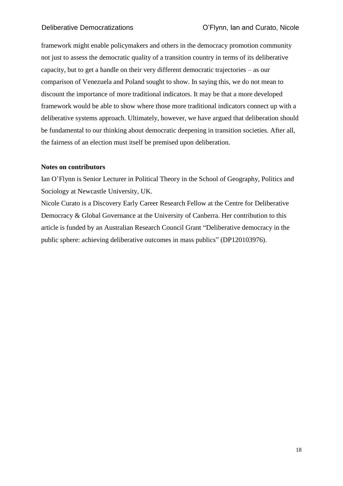framework might enable policymakers and others in the democracy promotion community not just to assess the democratic quality of a transition country in terms of its deliberative capacity, but to get a handle on their very different democratic trajectories – as our comparison of Venezuela and Poland sought to show. In saying this, we do not mean to discount the importance of more traditional indicators. It may be that a more developed framework would be able to show where those more traditional indicators connect up with a deliberative systems approach. Ultimately, however, we have argued that deliberation should be fundamental to our thinking about democratic deepening in transition societies. After all, the fairness of an election must itself be premised upon deliberation.

# **Notes on contributors**

Ian O'Flynn is Senior Lecturer in Political Theory in the School of Geography, Politics and Sociology at Newcastle University, UK.

Nicole Curato is a Discovery Early Career Research Fellow at the Centre for Deliberative Democracy & Global Governance at the University of Canberra. Her contribution to this article is funded by an Australian Research Council Grant "Deliberative democracy in the public sphere: achieving deliberative outcomes in mass publics" (DP120103976).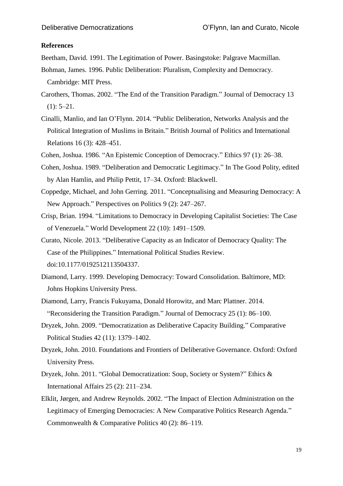### **References**

Beetham, David. 1991. The Legitimation of Power. Basingstoke: Palgrave Macmillan.

- Bohman, James. 1996. Public Deliberation: Pluralism, Complexity and Democracy. Cambridge: MIT Press.
- Carothers, Thomas. 2002. "The End of the Transition Paradigm." Journal of Democracy 13  $(1): 5-21.$
- Cinalli, Manlio, and Ian O'Flynn. 2014. "Public Deliberation, Networks Analysis and the Political Integration of Muslims in Britain." British Journal of Politics and International Relations 16 (3): 428–451.
- Cohen, Joshua. 1986. "An Epistemic Conception of Democracy." Ethics 97 (1): 26–38.
- Cohen, Joshua. 1989. "Deliberation and Democratic Legitimacy." In The Good Polity, edited by Alan Hamlin, and Philip Pettit, 17–34. Oxford: Blackwell.
- Coppedge, Michael, and John Gerring. 2011. "Conceptualising and Measuring Democracy: A New Approach." Perspectives on Politics 9 (2): 247–267.
- Crisp, Brian. 1994. "Limitations to Democracy in Developing Capitalist Societies: The Case of Venezuela." World Development 22 (10): 1491–1509.
- Curato, Nicole. 2013. "Deliberative Capacity as an Indicator of Democracy Quality: The Case of the Philippines." International Political Studies Review. [doi:10.1177/0192512113504337.](http://dx.doi.org/10.1177/0192512113504337)
- Diamond, Larry. 1999. Developing Democracy: Toward Consolidation. Baltimore, MD: Johns Hopkins University Press.
- Diamond, Larry, Francis Fukuyama, Donald Horowitz, and Marc Plattner. 2014. "Reconsidering the Transition Paradigm." Journal of Democracy 25 (1): 86–100.
- Dryzek, John. 2009. "Democratization as Deliberative Capacity Building." Comparative Political Studies 42 (11): 1379–1402.
- Dryzek, John. 2010. Foundations and Frontiers of Deliberative Governance. Oxford: Oxford University Press.
- Dryzek, John. 2011. "Global Democratization: Soup, Society or System?" Ethics & International Affairs 25 (2): 211–234.
- Elklit, Jørgen, and Andrew Reynolds. 2002. "The Impact of Election Administration on the Legitimacy of Emerging Democracies: A New Comparative Politics Research Agenda." Commonwealth & Comparative Politics 40 (2): 86–119.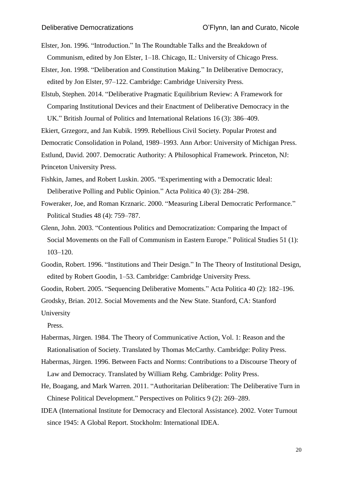Elster, Jon. 1996. "Introduction." In The Roundtable Talks and the Breakdown of Communism, edited by Jon Elster, 1–18. Chicago, IL: University of Chicago Press.

Elster, Jon. 1998. "Deliberation and Constitution Making." In Deliberative Democracy, edited by Jon Elster, 97–122. Cambridge: Cambridge University Press.

Elstub, Stephen. 2014. "Deliberative Pragmatic Equilibrium Review: A Framework for Comparing Institutional Devices and their Enactment of Deliberative Democracy in the UK." British Journal of Politics and International Relations 16 (3): 386–409.

Ekiert, Grzegorz, and Jan Kubik. 1999. Rebellious Civil Society. Popular Protest and

Democratic Consolidation in Poland, 1989–1993. Ann Arbor: University of Michigan Press.

Estlund, David. 2007. Democratic Authority: A Philosophical Framework. Princeton, NJ: Princeton University Press.

- Fishkin, James, and Robert Luskin. 2005. "Experimenting with a Democratic Ideal: Deliberative Polling and Public Opinion." Acta Politica 40 (3): 284–298.
- Foweraker, Joe, and Roman Krznaric. 2000. "Measuring Liberal Democratic Performance." Political Studies 48 (4): 759–787.
- Glenn, John. 2003. "Contentious Politics and Democratization: Comparing the Impact of Social Movements on the Fall of Communism in Eastern Europe." Political Studies 51 (1): 103–120.
- Goodin, Robert. 1996. "Institutions and Their Design." In The Theory of Institutional Design, edited by Robert Goodin, 1–53. Cambridge: Cambridge University Press.

Goodin, Robert. 2005. "Sequencing Deliberative Moments." Acta Politica 40 (2): 182–196.

Grodsky, Brian. 2012. Social Movements and the New State. Stanford, CA: Stanford University

Press.

- Habermas, Jürgen. 1984. The Theory of Communicative Action, Vol. 1: Reason and the Rationalisation of Society. Translated by Thomas McCarthy. Cambridge: Polity Press.
- Habermas, Jürgen. 1996. Between Facts and Norms: Contributions to a Discourse Theory of Law and Democracy. Translated by William Rehg. Cambridge: Polity Press.
- He, Boagang, and Mark Warren. 2011. "Authoritarian Deliberation: The Deliberative Turn in Chinese Political Development." Perspectives on Politics 9 (2): 269–289.
- IDEA (International Institute for Democracy and Electoral Assistance). 2002. Voter Turnout since 1945: A Global Report. Stockholm: International IDEA.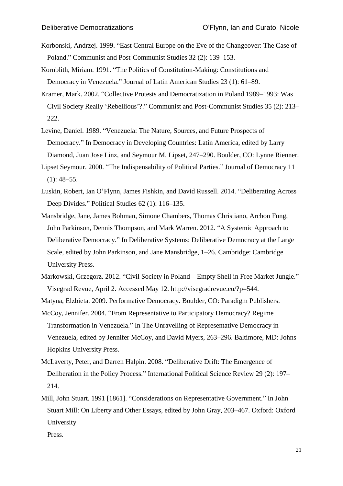- Korbonski, Andrzej. 1999. "East Central Europe on the Eve of the Changeover: The Case of Poland." Communist and Post-Communist Studies 32 (2): 139–153.
- Kornblith, Miriam. 1991. "The Politics of Constitution-Making: Constitutions and Democracy in Venezuela." Journal of Latin American Studies 23 (1): 61–89.
- Kramer, Mark. 2002. "Collective Protests and Democratization in Poland 1989–1993: Was Civil Society Really 'Rebellious'?." Communist and Post-Communist Studies 35 (2): 213– 222.
- Levine, Daniel. 1989. "Venezuela: The Nature, Sources, and Future Prospects of Democracy." In Democracy in Developing Countries: Latin America, edited by Larry Diamond, Juan Jose Linz, and Seymour M. Lipset, 247–290. Boulder, CO: Lynne Rienner.
- Lipset Seymour. 2000. "The Indispensability of Political Parties." Journal of Democracy 11  $(1): 48 - 55.$
- Luskin, Robert, Ian O'Flynn, James Fishkin, and David Russell. 2014. "Deliberating Across Deep Divides." Political Studies 62 (1): 116–135.
- Mansbridge, Jane, James Bohman, Simone Chambers, Thomas Christiano, Archon Fung, John Parkinson, Dennis Thompson, and Mark Warren. 2012. "A Systemic Approach to Deliberative Democracy." In Deliberative Systems: Deliberative Democracy at the Large Scale, edited by John Parkinson, and Jane Mansbridge, 1–26. Cambridge: Cambridge University Press.
- Markowski, Grzegorz. 2012. "Civil Society in Poland Empty Shell in Free Market Jungle." Visegrad Revue, April 2. Accessed May 12. [http://visegradrevue.eu/?p=544.](http://visegradrevue.eu/?p=544)

Matyna, Elzbieta. 2009. Performative Democracy. Boulder, CO: Paradigm Publishers.

- McCoy, Jennifer. 2004. "From Representative to Participatory Democracy? Regime Transformation in Venezuela." In The Unravelling of Representative Democracy in Venezuela, edited by Jennifer McCoy, and David Myers, 263–296. Baltimore, MD: Johns Hopkins University Press.
- McLaverty, Peter, and Darren Halpin. 2008. "Deliberative Drift: The Emergence of Deliberation in the Policy Process." International Political Science Review 29 (2): 197– 214.
- Mill, John Stuart. 1991 [1861]. "Considerations on Representative Government." In John Stuart Mill: On Liberty and Other Essays, edited by John Gray, 203–467. Oxford: Oxford University

Press.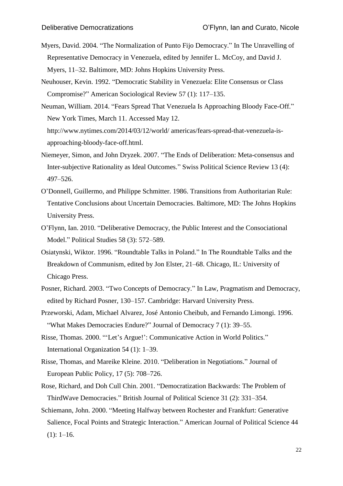- Myers, David. 2004. "The Normalization of Punto Fijo Democracy." In The Unravelling of Representative Democracy in Venezuela, edited by Jennifer L. McCoy, and David J. Myers, 11–32. Baltimore, MD: Johns Hopkins University Press.
- Neuhouser, Kevin. 1992. "Democratic Stability in Venezuela: Elite Consensus or Class Compromise?" American Sociological Review 57 (1): 117–135.
- Neuman, William. 2014. "Fears Spread That Venezuela Is Approaching Bloody Face-Off." New York Times, March 11. Accessed May 12. [http://www.nytimes.com/2014/03/12/world/ americas/fears-spread-that-venezuela-is](http://www.nytimes.com/2014/03/12/world/americas/fears-spread-that-venezuela-is-approaching-bloody-face-off.html)[approaching-bloody-face-off.html.](http://www.nytimes.com/2014/03/12/world/americas/fears-spread-that-venezuela-is-approaching-bloody-face-off.html)
- Niemeyer, Simon, and John Dryzek. 2007. "The Ends of Deliberation: Meta-consensus and Inter-subjective Rationality as Ideal Outcomes." Swiss Political Science Review 13 (4): 497–526.
- O'Donnell, Guillermo, and Philippe Schmitter. 1986. Transitions from Authoritarian Rule: Tentative Conclusions about Uncertain Democracies. Baltimore, MD: The Johns Hopkins University Press.
- O'Flynn, Ian. 2010. "Deliberative Democracy, the Public Interest and the Consociational Model." Political Studies 58 (3): 572–589.
- Osiatynski, Wiktor. 1996. "Roundtable Talks in Poland." In The Roundtable Talks and the Breakdown of Communism, edited by Jon Elster, 21–68. Chicago, IL: University of Chicago Press.
- Posner, Richard. 2003. "Two Concepts of Democracy." In Law, Pragmatism and Democracy, edited by Richard Posner, 130–157. Cambridge: Harvard University Press.
- Przeworski, Adam, Michael Alvarez, José Antonio Cheibub, and Fernando Limongi. 1996. "What Makes Democracies Endure?" Journal of Democracy 7 (1): 39–55.
- Risse, Thomas. 2000. "'Let's Argue!': Communicative Action in World Politics." International Organization 54 (1): 1–39.
- Risse, Thomas, and Mareike Kleine. 2010. "Deliberation in Negotiations." Journal of European Public Policy, 17 (5): 708–726.
- Rose, Richard, and Doh Cull Chin. 2001. "Democratization Backwards: The Problem of ThirdWave Democracies." British Journal of Political Science 31 (2): 331–354.
- Schiemann, John. 2000. "Meeting Halfway between Rochester and Frankfurt: Generative Salience, Focal Points and Strategic Interaction." American Journal of Political Science 44  $(1): 1-16.$